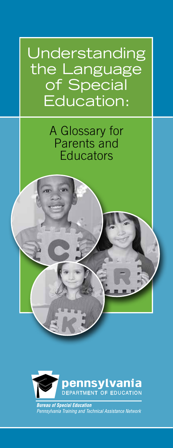Cover Education: Understanding the Language of Special

> A Glossary for Parents and **Educators**

for Parents and Educators



**Bureau of Special Education** Pennsylvania Training and Technical Assistance Network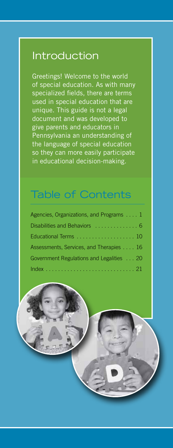### Introduction

Greetings! Welcome to the world of special education. As with many specialized fields, there are terms used in special education that are unique. This guide is not a legal document and was developed to give parents and educators in Pennsylvania an understanding of the language of special education so they can more easily participate in educational decision-making.

## Table of Contents

| Agencies, Organizations, and Programs 1  |
|------------------------------------------|
| Disabilities and Behaviors  6            |
| Educational Terms 10                     |
| Assessments, Services, and Therapies 16  |
| Government Regulations and Legalities 20 |
|                                          |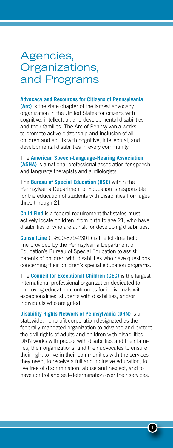### Agencies, Organizations, and Programs

#### **Advocacy and Resources for Citizens of Pennsylvania**

**(Arc)** is the state chapter of the largest advocacy organization in the United States for citizens with cognitive, intellectual, and developmental disabilities and their families. The Arc of Pennsylvania works to promote active citizenship and inclusion of all children and adults with cognitive, intellectual, and developmental disabilities in every community.

The **American Speech-Language-Hearing Association (ASHA)** is a national professional association for speech and language therapists and audiologists.

The **Bureau of Special Education (BSE)** within the Pennsylvania Department of Education is responsible for the education of students with disabilities from ages three through 21.

**Child Find** is a federal requirement that states must actively locate children, from birth to age 21, who have disabilities or who are at risk for developing disabilities.

**ConsultLine** (1-800-879-2301) is the toll-free help line provided by the Pennsylvania Department of Education's Bureau of Special Education to assist parents of children with disabilities who have questions concerning their children's special education programs.

The **Council for Exceptional Children (CEC)** is the largest international professional organization dedicated to improving educational outcomes for individuals with exceptionalities, students with disabilities, and/or individuals who are gifted.

**Disability Rights Network of Pennsylvania (DRN)** is a statewide, nonprofit corporation designated as the federally-mandated organization to advance and protect the civil rights of adults and children with disabilities. DRN works with people with disabilities and their families, their organizations, and their advocates to ensure their right to live in their communities with the services they need, to receive a full and inclusive education, to live free of discrimination, abuse and neglect, and to have control and self-determination over their services.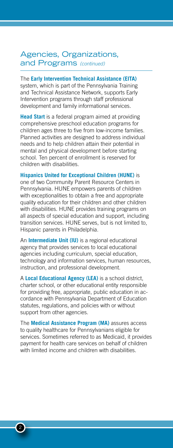#### Agencies, Organizations, and Programs *(continued)*

The **Early Intervention Technical Assistance (EITA)** system, which is part of the Pennsylvania Training and Technical Assistance Network, supports Early Intervention programs through staff professional development and family informational services.

**Head Start** is a federal program aimed at providing comprehensive preschool education programs for children ages three to five from low-income families. Planned activities are designed to address individual needs and to help children attain their potential in mental and physical development before starting school. Ten percent of enrollment is reserved for children with disabilities.

**Hispanics United for Exceptional Children (HUNE)** is one of two Community Parent Resource Centers in Pennsylvania. HUNE empowers parents of children with exceptionalities to obtain a free and appropriate quality education for their children and other children with disabilities. HUNE provides training programs on all aspects of special education and support, including transition services. HUNE serves, but is not limited to, Hispanic parents in Philadelphia.

An **Intermediate Unit (IU)** is a regional educational agency that provides services to local educational agencies including curriculum, special education, technology and information services, human resources, instruction, and professional development.

A **Local Educational Agency (LEA)** is a school district, charter school, or other educational entity responsible for providing free, appropriate, public education in accordance with Pennsylvania Department of Education statutes, regulations, and policies with or without support from other agencies.

The **Medical Assistance Program (MA)** assures access to quality healthcare for Pennsylvanians eligible for services. Sometimes referred to as Medicaid, it provides payment for health care services on behalf of children with limited income and children with disabilities.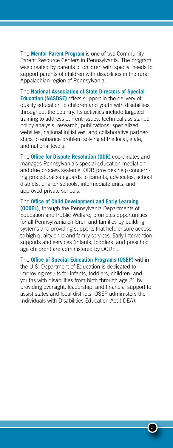The **Mentor Parent Program** is one of two Community Parent Resource Centers in Pennsylvania. The program was created by parents of children with special needs to support parents of children with disabilities in the rural Appalachian region of Pennsylvania.

The **National Association of State Directors of Special Education (NASDSE)** offers support in the delivery of quality education to children and youth with disabilities throughout the country. Its activities include targeted training to address current issues, technical assistance, policy analysis, research, publications, specialized websites, national initiatives, and collaborative partnerships to enhance problem solving at the local, state, and national levels.

The **Office for Dispute Resolution (ODR)** coordinates and manages Pennsylvania's special education mediation and due process systems. ODR provides help concerning procedural safeguards to parents, advocates, school districts, charter schools, intermediate units, and approved private schools.

The **Office of Child Development and Early Learning (OCDEL)**, through the Pennsylvania Departments of Education and Public Welfare, promotes opportunities for all Pennsylvania children and families by building systems and providing supports that help ensure access to high quality child and family services. Early Intervention supports and services (infants, toddlers, and preschool age children) are administered by OCDEL.

The **Office of Special Education Programs (OSEP)** within the U.S. Department of Education is dedicated to improving results for infants, toddlers, children, and youths with disabilities from birth through age 21 by providing oversight, leadership, and financial support to assist states and local districts. OSEP administers the Individuals with Disabilities Education Act (IDEA).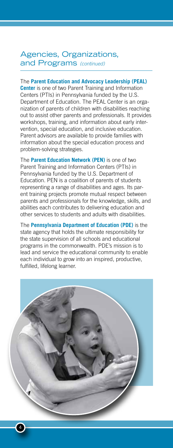#### Agencies, Organizations, and Programs *(continued)*

#### The **Parent Education and Advocacy Leadership (PEAL)**

**Center** is one of two Parent Training and Information Centers (PTIs) in Pennsylvania funded by the U.S. Department of Education. The PEAL Center is an organization of parents of children with disabilities reaching out to assist other parents and professionals. It provides workshops, training, and information about early intervention, special education, and inclusive education. Parent advisors are available to provide families with information about the special education process and problem-solving strategies.

The **Parent Education Network (PEN)** is one of two Parent Training and Information Centers (PTIs) in Pennsylvania funded by the U.S. Department of Education. PEN is a coalition of parents of students representing a range of disabilities and ages. Its parent training projects promote mutual respect between parents and professionals for the knowledge, skills, and abilities each contributes to delivering education and other services to students and adults with disabilities.

The **Pennsylvania Department of Education (PDE)** is the state agency that holds the ultimate responsibility for the state supervision of all schools and educational programs in the commonwealth. PDE's mission is to lead and service the educational community to enable each individual to grow into an inspired, productive, fulfilled, lifelong learner.

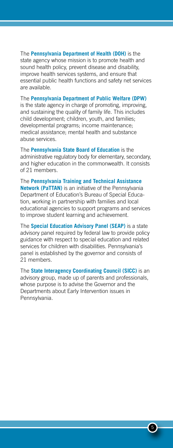The **Pennsylvania Department of Health (DOH)** is the state agency whose mission is to promote health and sound health policy, prevent disease and disability, improve health services systems, and ensure that essential public health functions and safety net services are available.

The **Pennsylvania Department of Public Welfare (DPW)**  is the state agency in charge of promoting, improving, and sustaining the quality of family life. This includes child development; children, youth, and families; developmental programs; income maintenance; medical assistance; mental health and substance abuse services.

The **Pennsylvania State Board of Education** is the administrative regulatory body for elementary, secondary, and higher education in the commonwealth. It consists of 21 members.

The **Pennsylvania Training and Technical Assistance Network (PaTTAN)** is an initiative of the Pennsylvania Department of Education's Bureau of Special Education, working in partnership with families and local educational agencies to support programs and services to improve student learning and achievement.

The **Special Education Advisory Panel (SEAP)** is a state advisory panel required by federal law to provide policy guidance with respect to special education and related services for children with disabilities. Pennsylvania's panel is established by the governor and consists of 21 members.

The **State Interagency Coordinating Council (SICC)** is an advisory group, made up of parents and professionals, whose purpose is to advise the Governor and the Departments about Early Intervention issues in Pennsylvania.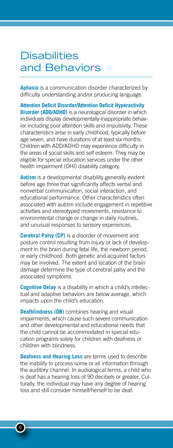### **Disabilities** and Behaviors

**Aphasia** is a communication disorder characterized by difficulty understanding and/or producing language.

**Attention Deficit Disorder/Attention Deficit Hyperactivity Disorder (ADD/ADHD)** is a neurological disorder in which individuals display developmentally-inappropriate behavior including poor attention skills and impulsivity. These characteristics arise in early childhood, typically before age seven, and have durations of at least six months. Children with ADD/ADHD may experience difficulty in the areas of social skills and self esteem. They may be eligible for special education services under the other health impairment (OHI) disability category.

**Autism** is a developmental disability generally evident before age three that significantly affects verbal and nonverbal communication, social interaction, and educational performance. Other characteristics often associated with autism include engagement in repetitive activities and stereotyped movements, resistance to environmental change or change in daily routines, and unusual responses to sensory experiences.

**Cerebral Palsy (CP)** is a disorder of movement and posture control resulting from injury or lack of development in the brain during fetal life, the newborn period, or early childhood. Both genetic and acquired factors may be involved. The extent and location of the brain damage determine the type of cerebral palsy and the associated symptoms.

**Cognitive Delay** is a disability in which a child's intellectual and adaptive behaviors are below average, which impacts upon the child's education.

**Deafblindness (DB)** combines hearing and visual impairments, which cause such severe communication and other developmental and educational needs that the child cannot be accommodated in special education programs solely for children with deafness or children with blindness.

**Deafness and Hearing Loss** are terms used to describe the inability to process some or all information through the auditory channel. In audiological terms, a child who is deaf has a hearing loss of 90 decibels or greater. Culturally, the individual may have any degree of hearing loss and still consider himself/herself to be deaf.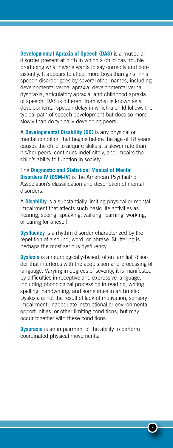**Developmental Apraxia of Speech (DAS)** is a muscular disorder present at birth in which a child has trouble producing what he/she wants to say correctly and consistently. It appears to affect more boys than girls. This speech disorder goes by several other names, including developmental verbal apraxia, developmental verbal dyspraxia, articulatory apraxia, and childhood apraxia of speech. DAS is different from what is known as a developmental speech delay in which a child follows the typical path of speech development but does so more slowly than do typically-developing peers.

A **Developmental Disability (DD)** is any physical or mental condition that begins before the age of 18 years, causes the child to acquire skills at a slower rate than his/her peers, continues indefinitely, and impairs the child's ability to function in society.

The **Diagnostic and Statistical Manual of Mental Disorders IV (DSM-IV)** is the American Psychiatric Association's classification and description of mental disorders.

A **Disability** is a substantially limiting physical or mental impairment that affects such basic life activities as hearing, seeing, speaking, walking, learning, working, or caring for oneself.

**Dysfluency** is a rhythm disorder characterized by the repetition of a sound, word, or phrase. Stuttering is perhaps the most serious dysfluency.

**Dyslexia** is a neurologically-based, often familial, disorder that interferes with the acquisition and processing of language. Varying in degrees of severity, it is manifested by difficulties in receptive and expressive language, including phonological processing in reading, writing, spelling, handwriting, and sometimes in arithmetic. Dyslexia is not the result of lack of motivation, sensory impairment, inadequate instructional or environmental opportunities, or other limiting conditions, but may occur together with these conditions.

**Dyspraxia** is an impairment of the ability to perform coordinated physical movements.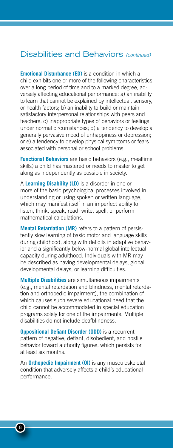#### Disabilities and Behaviors *(continued)*

**Emotional Disturbance (ED)** is a condition in which a child exhibits one or more of the following characteristics over a long period of time and to a marked degree, adversely affecting educational performance: a) an inability to learn that cannot be explained by intellectual, sensory, or health factors; b) an inability to build or maintain satisfactory interpersonal relationships with peers and teachers; c) inappropriate types of behaviors or feelings under normal circumstances; d) a tendency to develop a generally pervasive mood of unhappiness or depression; or e) a tendency to develop physical symptoms or fears associated with personal or school problems.

**Functional Behaviors** are basic behaviors (e.g., mealtime skills) a child has mastered or needs to master to get along as independently as possible in society.

A **Learning Disability (LD)** is a disorder in one or more of the basic psychological processes involved in understanding or using spoken or written language, which may manifest itself in an imperfect ability to listen, think, speak, read, write, spell, or perform mathematical calculations.

**Mental Retardation (MR)** refers to a pattern of persistently slow learning of basic motor and language skills during childhood, along with deficits in adaptive behavior and a significantly below-normal global intellectual capacity during adulthood. Individuals with MR may be described as having developmental delays, global developmental delays, or learning difficulties.

**Multiple Disabilities** are simultaneous impairments (e.g., mental retardation and blindness, mental retardation and orthopedic impairment), the combination of which causes such severe educational need that the child cannot be accommodated in special education programs solely for one of the impairments. Multiple disabilities do not include deafblindness.

**Oppositional Defiant Disorder (ODD)** is a recurrent pattern of negative, defiant, disobedient, and hostile behavior toward authority figures, which persists for at least six months.

An **Orthopedic Impairment (OI)** is any musculoskeletal condition that adversely affects a child's educational performance.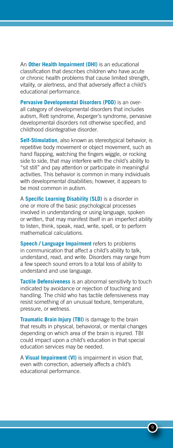An **Other Health Impairment (OHI)** is an educational classification that describes children who have acute or chronic health problems that cause limited strength, vitality, or alertness, and that adversely affect a child's educational performance.

**Pervasive Developmental Disorders (PDD)** is an overall category of developmental disorders that includes autism, Rett syndrome, Asperger's syndrome, pervasive developmental disorders not otherwise specified, and childhood disintegrative disorder.

**Self-Stimulation**, also known as stereotypical behavior, is repetitive body movement or object movement, such as hand flapping, watching the fingers wiggle, or rocking side to side, that may interfere with the child's ability to "sit still" and pay attention or participate in meaningful activities. This behavior is common in many individuals with developmental disabilities; however, it appears to be most common in autism.

A **Specific Learning Disability (SLD)** is a disorder in one or more of the basic psychological processes involved in understanding or using language, spoken or written, that may manifest itself in an imperfect ability to listen, think, speak, read, write, spell, or to perform mathematical calculations.

**Speech / Language Impairment** refers to problems in communication that affect a child's ability to talk, understand, read, and write. Disorders may range from a few speech sound errors to a total loss of ability to understand and use language.

**Tactile Defensiveness** is an abnormal sensitivity to touch indicated by avoidance or rejection of touching and handling. The child who has tactile defensiveness may resist something of an unusual texture, temperature, pressure, or wetness.

**Traumatic Brain Injury (TBI)** is damage to the brain that results in physical, behavioral, or mental changes depending on which area of the brain is injured. TBI could impact upon a child's education in that special education services may be needed.

A **Visual Impairment (VI)** is impairment in vision that, even with correction, adversely affects a child's educational performance.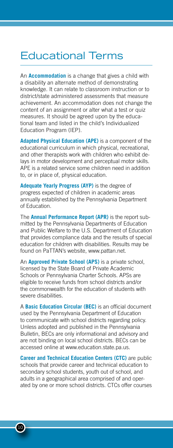### Educational Terms

An **Accommodation** is a change that gives a child with a disability an alternate method of demonstrating knowledge. It can relate to classroom instruction or to district/state administered assessments that measure achievement. An accommodation does not change the content of an assignment or alter what a test or quiz measures. It should be agreed upon by the educational team and listed in the child's Individualized Education Program (IEP).

**Adapted Physical Education (APE)** is a component of the educational curriculum in which physical, recreational, and other therapists work with children who exhibit delays in motor development and perceptual motor skills. APE is a related service some children need in addition to, or in place of, physical education.

**Adequate Yearly Progress (AYP)** is the degree of progress expected of children in academic areas annually established by the Pennsylvania Department of Education.

The **Annual Performance Report (APR)** is the report submitted by the Pennsylvania Departments of Education and Public Welfare to the U.S. Department of Education that provides compliance data and the results of special education for children with disabilities. Results may be found on PaTTAN's website, www.pattan.net.

An **Approved Private School (APS)** is a private school, licensed by the State Board of Private Academic Schools or Pennsylvania Charter Schools. APSs are eligible to receive funds from school districts and/or the commonwealth for the education of students with severe disabilities.

A **Basic Education Circular (BEC)** is an official document used by the Pennsylvania Department of Education to communicate with school districts regarding policy. Unless adopted and published in the Pennsylvania Bulletin, BECs are only informational and advisory and are not binding on local school districts. BECs can be accessed online at www.education.state.pa.us.

**Career and Technical Education Centers (CTC)** are public schools that provide career and technical education to secondary school students, youth out of school, and adults in a geographical area comprised of and operated by one or more school districts. CTCs offer courses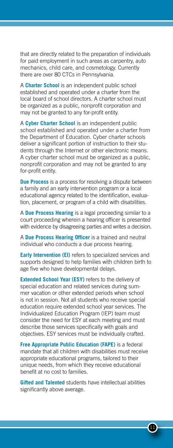that are directly related to the preparation of individuals for paid employment in such areas as carpentry, auto mechanics, child care, and cosmetology. Currently there are over 80 CTCs in Pennsylvania.

A **Charter School** is an independent public school established and operated under a charter from the local board of school directors. A charter school must be organized as a public, nonprofit corporation and may not be granted to any for-profit entity.

A **Cyber Charter School** is an independent public school established and operated under a charter from the Department of Education. Cyber charter schools deliver a significant portion of instruction to their students through the Internet or other electronic means. A cyber charter school must be organized as a public, nonprofit corporation and may not be granted to any for-profit entity.

**Due Process** is a process for resolving a dispute between a family and an early intervention program or a local educational agency related to the identification, evaluation, placement, or program of a child with disabilities.

A **Due Process Hearing** is a legal proceeding similar to a court proceeding wherein a hearing officer is presented with evidence by disagreeing parties and writes a decision.

A **Due Process Hearing Officer** is a trained and neutral individual who conducts a due process hearing.

**Early Intervention (EI)** refers to specialized services and supports designed to help families with children birth to age five who have developmental delays.

**Extended School Year (ESY)** refers to the delivery of special education and related services during summer vacation or other extended periods when school is not in session. Not all students who receive special education require extended school year services. The Individualized Education Program (IEP) team must consider the need for ESY at each meeting and must describe those services specifically with goals and objectives. ESY services must be individually crafted.

**Free Appropriate Public Education (FAPE)** is a federal mandate that all children with disabilities must receive appropriate educational programs, tailored to their unique needs, from which they receive educational benefit at no cost to families.

**Gifted and Talented** students have intellectual abilities significantly above average.

 $\mathbf{q}$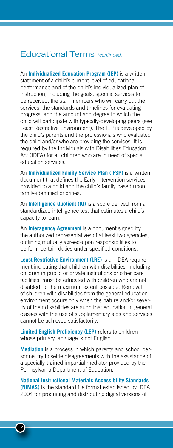#### Educational Terms *(continued)*

An **Individualized Education Program (IEP)** is a written statement of a child's current level of educational performance and of the child's individualized plan of instruction, including the goals, specific services to be received, the staff members who will carry out the services, the standards and timelines for evaluating progress, and the amount and degree to which the child will participate with typically-developing peers (see Least Restrictive Environment). The IEP is developed by the child's parents and the professionals who evaluated the child and/or who are providing the services. It is required by the Individuals with Disabilities Education Act (IDEA) for all children who are in need of special education services.

An **Individualized Family Service Plan (IFSP)** is a written document that defines the Early Intervention services provided to a child and the child's family based upon family-identified priorities.

An **Intelligence Quotient (IQ)** is a score derived from a standardized intelligence test that estimates a child's capacity to learn.

An **Interagency Agreement** is a document signed by the authorized representatives of at least two agencies, outlining mutually agreed-upon responsibilities to perform certain duties under specified conditions.

**Least Restrictive Environment (LRE)** is an IDEA requirement indicating that children with disabilities, including children in public or private institutions or other care facilities, must be educated with children who are not disabled, to the maximum extent possible. Removal of children with disabilities from the general education environment occurs only when the nature and/or severity of their disabilities are such that education in general classes with the use of supplementary aids and services cannot be achieved satisfactorily.

**Limited English Proficiency (LEP)** refers to children whose primary language is not English.

**Mediation** is a process in which parents and school personnel try to settle disagreements with the assistance of a specially-trained impartial mediator provided by the Pennsylvania Department of Education.

**National Instructional Materials Accessibility Standards (NIMAS)** is the standard file format established by IDEA 2004 for producing and distributing digital versions of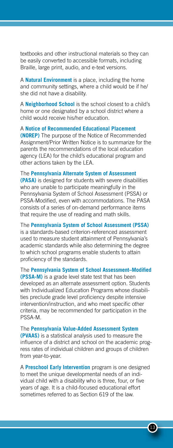textbooks and other instructional materials so they can be easily converted to accessible formats, including Braille, large print, audio, and e-text versions.

A **Natural Environment** is a place, including the home and community settings, where a child would be if he/ she did not have a disability.

A **Neighborhood School** is the school closest to a child's home or one designated by a school district where a child would receive his/her education.

A **Notice of Recommended Educational Placement (NOREP)** The purpose of the Notice of Recommended Assignment/Prior Written Notice is to summarize for the parents the recommendations of the local education agency (LEA) for the child's educational program and other actions taken by the LEA.

The **Pennsylvania Alternate System of Assessment (PASA)** is designed for students with severe disabilities who are unable to participate meaningfully in the Pennsylvania System of School Assessment (PSSA) or PSSA-Modified, even with accommodations. The PASA consists of a series of on-demand performance items that require the use of reading and math skills.

The **Pennsylvania System of School Assessment (PSSA)** is a standards-based criterion-referenced assessment used to measure student attainment of Pennsylvania's academic standards while also determining the degree to which school programs enable students to attain proficiency of the standards.

The **Pennsylvania System of School Assessment–Modified (PSSA-M)** is a grade level state test that has been developed as an alternate assessment option. Students with Individualized Education Programs whose disabilities preclude grade level proficiency despite intensive intervention/instruction, and who meet specific other criteria, may be recommended for participation in the PSSA-M.

The **Pennsylvania Value-Added Assessment System (PVAAS)** is a statistical analysis used to measure the influence of a district and school on the academic progress rates of individual children and groups of children from year-to-year.

A **Preschool Early Intervention** program is one designed to meet the unique developmental needs of an individual child with a disability who is three, four, or five years of age. It is a child-focused educational effort sometimes referred to as Section 619 of the law.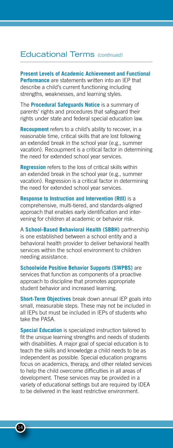#### Educational Terms *(continued)*

**Present Levels of Academic Achievement and Functional Performance** are statements written into an IEP that describe a child's current functioning including strengths, weaknesses, and learning styles.

The **Procedural Safeguards Notice** is a summary of parents' rights and procedures that safeguard their rights under state and federal special education law.

**Recoupment** refers to a child's ability to recover, in a reasonable time, critical skills that are lost following an extended break in the school year (e.g., summer vacation). Recoupment is a critical factor in determining the need for extended school year services.

**Regression** refers to the loss of critical skills within an extended break in the school year (e.g., summer vacation). Regression is a critical factor in determining the need for extended school year services.

**Response to Instruction and Intervention (RtII)** is a comprehensive, multi-tiered, and standards-aligned approach that enables early identification and intervening for children at academic or behavior risk.

A **School-Based Behavioral Health (SBBH)** partnership is one established between a school entity and a behavioral health provider to deliver behavioral health services within the school environment to children needing assistance.

**Schoolwide Positive Behavior Supports (SWPBS)** are services that function as components of a proactive approach to discipline that promotes appropriate student behavior and increased learning.

**Short-Term Objectives** break down annual IEP goals into small, measurable steps. These may not be included in all IEPs but must be included in IEPs of students who take the PASA.

**Special Education** is specialized instruction tailored to fit the unique learning strengths and needs of students with disabilities. A major goal of special education is to teach the skills and knowledge a child needs to be as independent as possible. Special education programs focus on academics, therapy, and other related services to help the child overcome difficulties in all areas of development. These services may be provided in a variety of educational settings but are required by IDEA to be delivered in the least restrictive environment.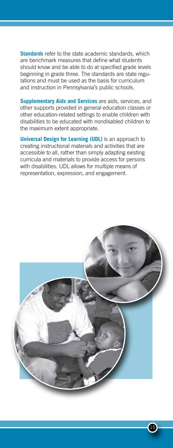**Standards** refer to the state academic standards, which are benchmark measures that define what students should know and be able to do at specified grade levels beginning in grade three. The standards are state regulations and must be used as the basis for curriculum and instruction in Pennsylvania's public schools.

**Supplementary Aids and Services** are aids, services, and other supports provided in general education classes or other education-related settings to enable children with disabilities to be educated with nondisabled children to the maximum extent appropriate.

**Universal Design for Learning (UDL)** is an approach to creating instructional materials and activities that are accessible to all, rather than simply adapting existing curricula and materials to provide access for persons with disabilities. UDL allows for multiple means of representation, expression, and engagement.

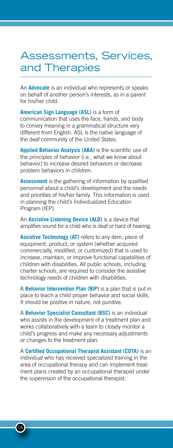## Assessments, Services, and Therapies

An **Advocate** is an individual who represents or speaks on behalf of another person's interests, as in a parent for his/her child.

**American Sign Language (ASL)** is a form of communication that uses the face, hands, and body to convey meaning in a grammatical structure very different from English. ASL is the native language of the deaf community of the United States.

**Applied Behavior Analysis (ABA)** is the scientific use of the principles of behavior (i.e., what we know about behavior) to increase desired behaviors or decrease problem behaviors in children.

**Assessment** is the gathering of information by qualified personnel about a child's development and the needs and priorities of his/her family. This information is used in planning the child's Individualized Education Program (IEP).

An **Assistive Listening Device (ALD)** is a device that amplifies sound for a child who is deaf or hard of hearing.

**Assistive Technology (AT)** refers to any item, piece of equipment, product, or system (whether acquired commercially, modified, or customized) that is used to increase, maintain, or improve functional capabilities of children with disabilities. All public schools, including charter schools, are required to consider the assistive technology needs of children with disabilities.

A **Behavior Intervention Plan (BIP)** is a plan that is put in place to teach a child proper behavior and social skills. It should be positive in nature, not punitive.

A **Behavior Specialist Consultant (BSC)** is an individual who assists in the development of a treatment plan and works collaboratively with a team to closely monitor a child's progress and make any necessary adjustments or changes to the treatment plan.

A **Certified Occupational Therapist Assistant (COTA)** is an individual who has received specialized training in the area of occupational therapy and can implement treatment plans created by an occupational therapist under the supervision of the occupational therapist.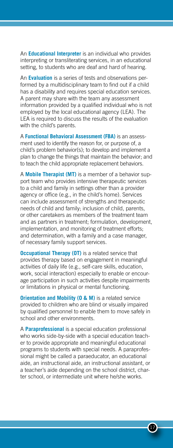An **Educational Interpreter** is an individual who provides interpreting or transliterating services, in an educational setting, to students who are deaf and hard of hearing.

An **Evaluation** is a series of tests and observations performed by a multidisciplinary team to find out if a child has a disability and requires special education services. A parent may share with the team any assessment information provided by a qualified individual who is not employed by the local educational agency (LEA). The LEA is required to discuss the results of the evaluation with the child's parents.

A **Functional Behavioral Assessment (FBA)** is an assessment used to identify the reason for, or purpose of, a child's problem behavior(s); to develop and implement a plan to change the things that maintain the behavior; and to teach the child appropriate replacement behaviors.

A **Mobile Therapist (MT)** is a member of a behavior support team who provides intensive therapeutic services to a child and family in settings other than a provider agency or office (e.g., in the child's home). Services can include assessment of strengths and therapeutic needs of child and family; inclusion of child, parents, or other caretakers as members of the treatment team and as partners in treatment; formulation, development, implementation, and monitoring of treatment efforts; and determination, with a family and a case manager, of necessary family support services.

**Occupational Therapy (OT)** is a related service that provides therapy based on engagement in meaningful activities of daily life (e.g., self-care skills, education, work, social interaction) especially to enable or encourage participation in such activities despite impairments or limitations in physical or mental functioning.

**Orientation and Mobility (O & M)** is a related service provided to children who are blind or visually impaired by qualified personnel to enable them to move safely in school and other environments.

A **Paraprofessional** is a special education professional who works side-by-side with a special education teacher to provide appropriate and meaningful educational programs to students with special needs. A paraprofessional might be called a paraeducator, an educational aide, an instructional aide, an instructional assistant, or a teacher's aide depending on the school district, charter school, or intermediate unit where he/she works.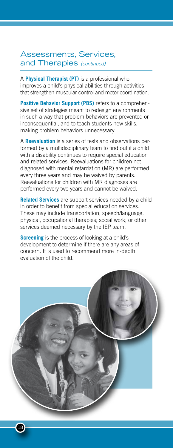### Assessments, Services, and Therapies *(continued)*

A **Physical Therapist (PT)** is a professional who improves a child's physical abilities through activities that strengthen muscular control and motor coordination.

**Positive Behavior Support (PBS)** refers to a comprehensive set of strategies meant to redesign environments in such a way that problem behaviors are prevented or inconsequential, and to teach students new skills, making problem behaviors unnecessary.

A **Reevaluation** is a series of tests and observations performed by a multidisciplinary team to find out if a child with a disability continues to require special education and related services. Reevaluations for children not diagnosed with mental retardation (MR) are performed every three years and may be waived by parents. Reevaluations for children with MR diagnoses are performed every two years and cannot be waived.

**Related Services** are support services needed by a child in order to benefit from special education services. These may include transportation; speech/language, physical, occupational therapies; social work; or other services deemed necessary by the IEP team.

**Screening** is the process of looking at a child's development to determine if there are any areas of concern. It is used to recommend more in-depth evaluation of the child.

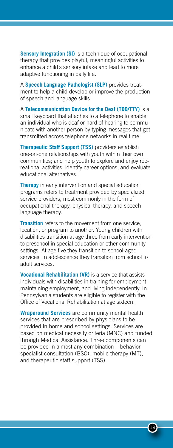**Sensory Integration (SI)** is a technique of occupational therapy that provides playful, meaningful activities to enhance a child's sensory intake and lead to more adaptive functioning in daily life.

A **Speech Language Pathologist (SLP)** provides treatment to help a child develop or improve the production of speech and language skills.

A **Telecommunication Device for the Deaf (TDD/TTY)** is a small keyboard that attaches to a telephone to enable an individual who is deaf or hard of hearing to communicate with another person by typing messages that get transmitted across telephone networks in real time.

**Therapeutic Staff Support (TSS)** providers establish one-on-one relationships with youth within their own communities; and help youth to explore and enjoy recreational activities, identify career options, and evaluate educational alternatives.

**Therapy** in early intervention and special education programs refers to treatment provided by specialized service providers, most commonly in the form of occupational therapy, physical therapy, and speech language therapy.

**Transition** refers to the movement from one service, location, or program to another. Young children with disabilities transition at age three from early intervention to preschool in special education or other community settings. At age five they transition to school-aged services. In adolescence they transition from school to adult services.

**Vocational Rehabilitation (VR)** is a service that assists individuals with disabilities in training for employment, maintaining employment, and living independently. In Pennsylvania students are eligible to register with the Office of Vocational Rehabilitation at age sixteen.

**Wraparound Services** are community mental health services that are prescribed by physicians to be provided in home and school settings. Services are based on medical necessity criteria (MNC) and funded through Medical Assistance. Three components can be provided in almost any combination – behavior specialist consultation (BSC), mobile therapy (MT), and therapeutic staff support (TSS).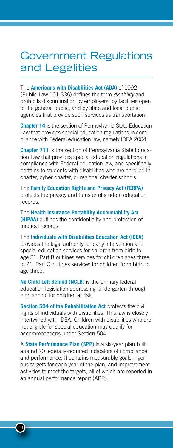### Government Regulations and Legalities

The **Americans with Disabilities Act (ADA)** of 1992 (Public Law 101-336) defines the term *disability* and prohibits discrimination by employers, by facilities open to the general public, and by state and local public agencies that provide such services as transportation.

**Chapter 14** is the section of Pennsylvania State Education Law that provides special education regulations in compliance with Federal education law, namely IDEA 2004.

**Chapter 711** is the section of Pennsylvania State Education Law that provides special education regulations in compliance with Federal education law, and specifically pertains to students with disabilities who are enrolled in charter, cyber charter, or regional charter schools.

The **Family Education Rights and Privacy Act (FERPA)** protects the privacy and transfer of student education records.

The **Health Insurance Portability Accountability Act (HIPAA)** outlines the confidentiality and protection of medical records.

The **Individuals with Disabilities Education Act (IDEA)** provides the legal authority for early intervention and special education services for children from birth to age 21. Part B outlines services for children ages three to 21. Part C outlines services for children from birth to age three.

**No Child Left Behind (NCLB)** is the primary federal education legislation addressing kindergarten through high school for children at risk.

**Section 504 of the Rehabilitation Act** protects the civil rights of individuals with disabilities. This law is closely intertwined with IDEA. Children with disabilities who are not eligible for special education may qualify for accommodations under Section 504.

A **State Performance Plan (SPP)** is a six-year plan built around 20 federally-required indicators of compliance and performance. It contains measurable goals, rigorous targets for each year of the plan, and improvement activities to meet the targets, all of which are reported in an annual performance report (APR).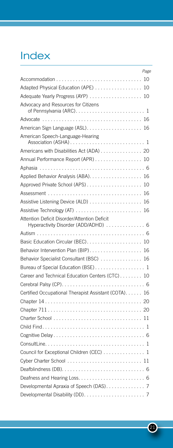# Index

| Page                                                                                 |
|--------------------------------------------------------------------------------------|
|                                                                                      |
| Adapted Physical Education (APE) 10                                                  |
|                                                                                      |
| Advocacy and Resources for Citizens                                                  |
|                                                                                      |
| American Sign Language (ASL) 16                                                      |
| American Speech-Language-Hearing                                                     |
| Americans with Disabilities Act (ADA) 20                                             |
| Annual Performance Report (APR) 10                                                   |
|                                                                                      |
|                                                                                      |
|                                                                                      |
|                                                                                      |
|                                                                                      |
|                                                                                      |
| Attention Deficit Disorder/Attention Deficit<br>Hyperactivity Disorder (ADD/ADHD)  6 |
|                                                                                      |
|                                                                                      |
| Behavior Intervention Plan (BIP) 16                                                  |
| Behavior Specialist Consultant (BSC) 16                                              |
| Bureau of Special Education (BSE) 1                                                  |
| Career and Technical Education Centers (CTC) 10                                      |
|                                                                                      |
| Certified Occupational Therapist Assistant (COTA) 16                                 |
|                                                                                      |
|                                                                                      |
|                                                                                      |
|                                                                                      |
|                                                                                      |
|                                                                                      |
| Council for Exceptional Children (CEC) 1                                             |
| Cyber Charter School  11                                                             |
|                                                                                      |
|                                                                                      |
| Developmental Apraxia of Speech (DAS). 7                                             |
|                                                                                      |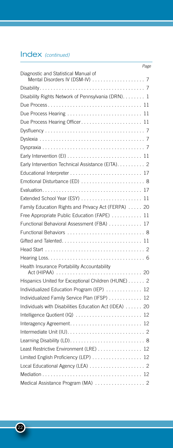### Index *(continued)*

|                                                       | Page |
|-------------------------------------------------------|------|
| Diagnostic and Statistical Manual of                  |      |
|                                                       |      |
| Disability Rights Network of Pennsylvania (DRN). 1    |      |
|                                                       |      |
| Due Process Hearing  11                               |      |
| Due Process Hearing Officer 11                        |      |
|                                                       |      |
|                                                       |      |
|                                                       |      |
|                                                       |      |
| Early Intervention Technical Assistance (EITA). 2     |      |
|                                                       |      |
|                                                       |      |
|                                                       |      |
|                                                       |      |
| Family Education Rights and Privacy Act (FERPA) 20    |      |
| Free Appropriate Public Education (FAPE)  11          |      |
| Functional Behavioral Assessment (FBA) 17             |      |
| Functional Behaviors  8                               |      |
|                                                       |      |
|                                                       |      |
|                                                       |      |
| Health Insurance Portability Accountability           |      |
| Hispanics United for Exceptional Children (HUNE) 2    |      |
| Individualized Education Program (IEP)  12            |      |
| Individualized Family Service Plan (IFSP) 12          |      |
| Individuals with Disabilities Education Act (IDEA) 20 |      |
|                                                       |      |
|                                                       |      |
|                                                       |      |
|                                                       |      |
| Least Restrictive Environment (LRE) 12                |      |
| Limited English Proficiency (LEP) 12                  |      |
|                                                       |      |
|                                                       |      |
| Medical Assistance Program (MA) 2                     |      |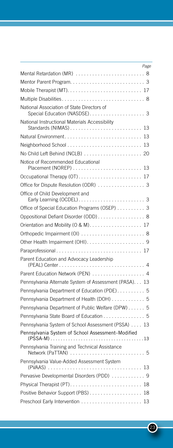|                                                        | Page |
|--------------------------------------------------------|------|
| Mental Retardation (MR)  8                             |      |
|                                                        |      |
|                                                        |      |
|                                                        |      |
| National Association of State Directors of             |      |
| National Instructional Materials Accessibility         |      |
|                                                        |      |
| Neighborhood School  13                                |      |
| No Child Left Behind (NCLB)  20                        |      |
| Notice of Recommended Educational                      |      |
| Occupational Therapy (OT) 17                           |      |
| Office for Dispute Resolution (ODR) 3                  |      |
| Office of Child Development and                        |      |
| Office of Special Education Programs (OSEP) 3          |      |
| Oppositional Defiant Disorder (ODD) 8                  |      |
| Orientation and Mobility (O & M). 17                   |      |
|                                                        |      |
|                                                        |      |
|                                                        |      |
| Parent Education and Advocacy Leadership               |      |
| Parent Education Network (PEN)  4                      |      |
| Pennsylvania Alternate System of Assessment (PASA). 13 |      |
| Pennsylvania Department of Education (PDE) 5           |      |
| Pennsylvania Department of Health (DOH) 5              |      |
| Pennsylvania Department of Public Welfare (DPW) 5      |      |
| Pennsylvania State Board of Education 5                |      |
| Pennsylvania System of School Assessment (PSSA) 13     |      |
| Pennsylvania System of School Assessment-Modified      |      |
| Pennsylvania Training and Technical Assistance         |      |
| Pennsylvania Value-Added Assessment System             |      |
| Pervasive Developmental Disorders (PDD)  9             |      |
|                                                        |      |
| Positive Behavior Support (PBS) 18                     |      |
|                                                        |      |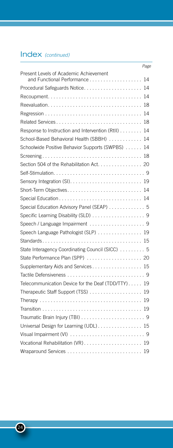### Index *(continued)*

|                                                                         | Page |
|-------------------------------------------------------------------------|------|
| Present Levels of Academic Achievement<br>and Functional Performance 14 |      |
| Procedural Safeguards Notice 14                                         |      |
|                                                                         |      |
|                                                                         |      |
|                                                                         | 14   |
| Related Services                                                        | 18   |
| Response to Instruction and Intervention (RtII) 14                      |      |
| School-Based Behavioral Health (SBBH)  14                               |      |
| Schoolwide Positive Behavior Supports (SWPBS) 14                        |      |
|                                                                         |      |
| Section 504 of the Rehabilitation Act. 20                               |      |
|                                                                         |      |
|                                                                         |      |
|                                                                         |      |
|                                                                         |      |
| Special Education Advisory Panel (SEAP) 5                               |      |
| Specific Learning Disability (SLD) 9                                    |      |
| Speech / Language Impairment 9                                          |      |
| Speech Language Pathologist (SLP) 19                                    |      |
|                                                                         |      |
| State Interagency Coordinating Council (SICC)  5                        |      |
| State Performance Plan (SPP)  20                                        |      |
| Supplementary Aids and Services 15                                      |      |
|                                                                         |      |
| Telecommunication Device for the Deaf (TDD/TTY) 19                      |      |
|                                                                         |      |
|                                                                         |      |
|                                                                         |      |
|                                                                         |      |
| Universal Design for Learning (UDL) 15                                  |      |
|                                                                         |      |
| Vocational Rehabilitation (VR) 19                                       |      |
|                                                                         |      |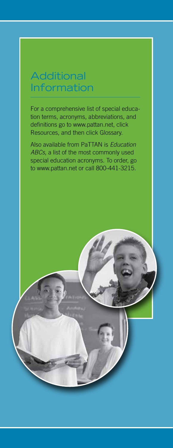# **Additional** Information

For a comprehensive list of special education terms, acronyms, abbreviations, and definitions go to www.pattan.net, click Resources, and then click Glossary.

Also available from PaTTAN is *Education ABCs*, a list of the most commonly used special education acronyms. To order, go to www.pattan.net or call 800-441-3215.